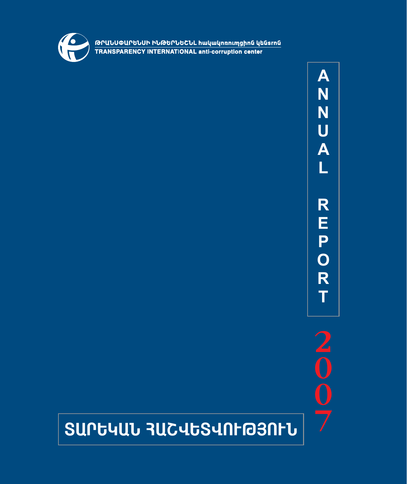

GՐԱՆՍՓԱՐԵՆՍԻ ԻՆԹԵՐՆԵՇՆԼ հակակոռուղցիոն կենsrոն<br>TRANSPARENCY INTERNATIONAL anti-corruption center

 $\blacktriangle$ N N U A L R E P<br>O R Ť

 $\frac{2}{0}$ 

# **SUPG4UL 3UC4GS4NF@3NFL**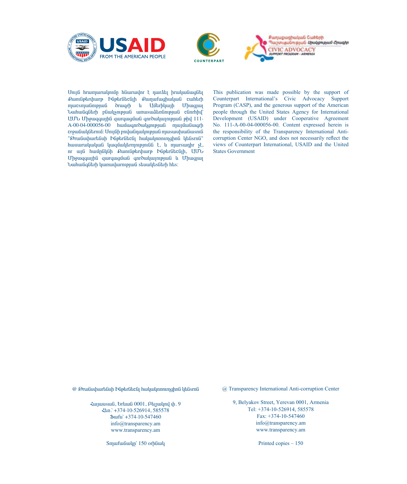





Unya hrumurulpnun haurulpr t nurath hrulpuaugath £unnliptrthurp Þliptrlitclith £unpufunghulunli cuntirh mucsmulinipjuli druigrh li Uutrhluijh Uhuigjui Նաhանգնեrի բնակչության առաsաձեռնության cնոrhիվ` UU *U* Uh9wqqwjhû qwrqwguua qnrowlwynipjwa phy 111- $A-00-04-000056-00$  huntungnroulgonpjuma mujutungrh crgwGwluQGtrnui: UnyGh pnywGnwynupywG mwswupwGwsntG " Orw Guyhwr tah baş bürlüke bir hulun kundan baş karna" hwww.rwywywG ywqu ultrampion is the mursum of the hundred is have an interest. nr wiß hwungülgh Cwingbarthurp Puptraticajh, UUU Uhowqqwiha qurqwquua qnrowywinipjwa u Uhwqjwi Նաhանգնեrի կառավաrության sեսակեsնեrի hեs:

This publication was made possible by the support of Counterpart International's Civic Advocacy Support Program (CASP), and the generous support of the American people through the United States Agency for International Development (USAID) under Cooperative Agreement No. 111-A-00-04-000056-00. Content expressed herein is the responsibility of the Transparency International Anticorruption Center NGO, and does not necessarily reflect the views of Counterpart International, USAID and the United States Government

@ Թrանսփաrենսի Ինթեrնեշնյ hակակnnnmqhnն կենsrnն

 $\frac{2\mu}{\sigma}$  + 2 and 2001, είναι είναι είναι + 2 and 2011, είναι μπ лé.` +374-10-526914, 585578 ü³ùë` +374-10-547460 info@transparency.am www.transparency.am

Smurfuliulm' 150 orhliwl

@ Transparency International Anti-corruption Center

9, Belyakov Street, Yerevan 0001, Armenia Tel: +374-10-526914, 585578 Fax: +374-10-547460 info@transparency.am www.transparency.am

Printed copies – 150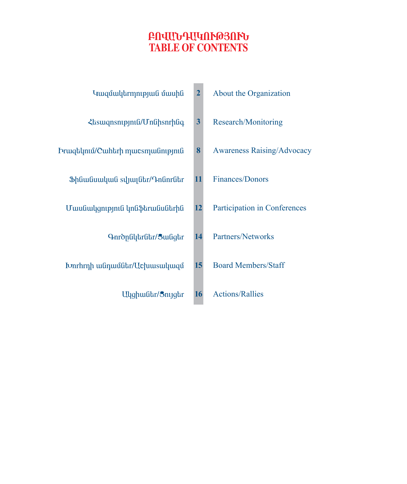## **´àì²Ü¸²ÎàôÂÚàôÜ TABLE OF CONTENTS**

|                                                                                                       | $\overline{2}$          | About the Organization            |
|-------------------------------------------------------------------------------------------------------|-------------------------|-----------------------------------|
| <b><i><u></u></i></b> <i><b><br/> a</b><br/> <b></b> // <b><i>Absumptomagnetic Unghanthuq</i></b></i> | $\overline{\mathbf{3}}$ | Research/Monitoring               |
| Frwqtlmul/Cwhtrh mwcsmwնnipjniն                                                                       | 8                       | <b>Awareness Raising/Advocacy</b> |
| Shüwüuuluuti syyuyuttr/ <del>Chumuther</del>                                                          | 11                      | Finances/Donors                   |
| Մասնակզություն կոնֆեrանսնեrին                                                                         | 12                      | Participation in Conferences      |
| Գուծընկեrնեr/3անցեr                                                                                   | 14                      | Partners/Networks                 |
| <b>I</b> Ivnrhrnh <i>ա</i> նդամնեr/Uchuus ակազմ                                                       | 15                      | <b>Board Members/Staff</b>        |

**16** Ulyghwatr/Snygtr Actions/Rallies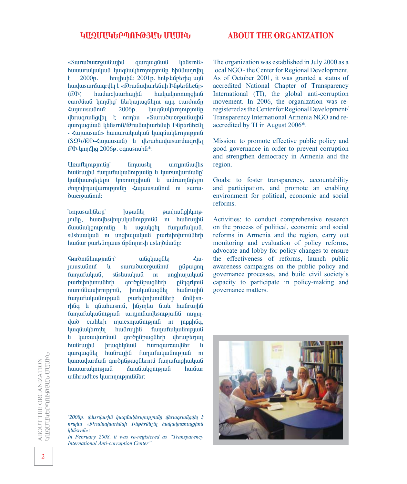#### **ԿՄԶՄՍԿԵՐՊՈՒԹՅՄՆ ՄՄՍԻՆ**

**ABOUT THE ORGANIZATION** 

«Surruður eyn fuð þæð spendi við hafism flaðar verkist við hafism flaðar hefa spendi var hefa spendi við hafism flaða hefa spendi var hefa spendi var hefa spendi var hefa spendi var hefa spendi var hefa spendi var hefa spe hwww.mywywa hwww.mynamaniana hhundangana ha  $\frac{1}{2000}$ . hnuhuhG: 2001<sup>p</sup>. hnustupting ung hավաsաrմագrվել է «Թrանսփաrենսի Ինթեrնեշնլ»<br>(ԹԻ) hամաշխաrhային hակակոռուոյցիոն  $(66)$  huu uu huu huu huu huu uu huu qabaadhaa huu qabaadhaa huu qabaadhaa huu qabaadhaa huu qabaadhaa huu qabaadhaa huu qabaadhaa huu qabaadhaa huu qabaadhaa huu qabaadhaa huu qabaadhaa huu qabaadhaa huu qabaadhaa huu qa curduuG ynnung Ghryunugutin un curdnun  $\frac{2006}{9}$ .  $\frac{1}{2006}$ iltruiqruingilta k nrmtu «Suiruiduicrouinging qurququ un haberna in international purququat du haberna e que regionale Esperantista -  $\zeta$ wjwuswG» hwwwrwljwljwG ljwqմwljtrmntpjntG (SQY/@h-ZuyuusuuG) lu ytruhuulusuruuqryt **@h lunung 2006** $\uprho$ . oqnusnung\*:

Unuftinipinilin Gimuusti urniniliuultis hwarwiha funjufuluanipjulan li yunjuluruwan luu Ghuurqtikin lunnimghuu u uufrumfintini dnnnymuu urmpinin 2ujuusuu fini n suruδωστρω<sub>θηλιδ</sub>:

Umuswy Garna Kupwa Kanada Kumuswy Kanada Kumuswa Kumuswa Kumuswa Kumuswa Kumuswa Kumuswa Kumuswa Kumuswa Kumusw jnigh, huicultsunnuuluu Gnipjnig ni huigruijha u3iuudiuulqnipjnidin li uiguulqdij fuinuifuiljuid, sûstauuluuG ni unghuquluuG purtahntunu0Gtrh huu üur purti unus up ünnesh ustin duu ün:

 $Q$ anrðni undigháð hafðað var þegar er stærðar er stærðar er stærðar er stærðar er stærðar er stærða hafða hafða hafða hafða hafða hafða hafða hafða hafða hafða hafða hafða hafða hafða hafða hafða hafða hafða hafða hafða h juusuunui li suruoducrouunui phpuqnn fաղաfական, sնsեսական ու սոցիալական<br>բադեփոխումների գուծընթացների ընդգրկուն purtuþnխnuմնեrի գոrծընթացնեrի<br>ուսումնասիrություն, իrականացնել nunuð Guuhrni pini Giller hufir hafir anna heimisti hufir anna heimisti hufir anna heimisti hufir hufir anna h funjufululünipjuli purtihalunilütrh ünlihsnrþliq u qliwhwsnu, þlismau liwu hwlirwyhli fun ufuluu Gnipju G urn in Guilanipju Ga nin pi  $\frac{1}{\omega}$ δ cuharh mucsmußnipjniß ni jnpphßq, luuqu ultama huu iruqha funufuluu un buda lı yunaylurunun qnrðnlipunglitrh ytrungtrun hwuirwihu hrwqtlyuwa fwrnqwrcwylutr u qurququan hudruqha funufuludnupjud n luunuuluuruud qnronlipuuglitrnui fuunuufuughuuluuli huuuuruulmppuu uunduulgmppuu huuuruulmppuu kuusta kuusta kuusta kuusta kuusta kuusta kuusta kuusta kuusta kuus uuGhruudtics luurnnnnpjniGGtr:

\*2008p. <sub>†</sub><br>2008 *p. † áñå»ë §Âñ³Ýë÷³ñ»ÝëÇ ÆÝûñÝ»ßÝÉ Ñ³Ï³ÏáéáõåóÇáÝ Ï»Ýïñáݦ:*

*In February 2008, it was re-registered as "Transparency International Anti-corruption Center".*

The organization was established in July 2000 as a local NGO - the Center for Regional Development. As of October 2001, it was granted a status of accredited National Chapter of Transparency International (TI), the global anti-corruption movement. In 2006, the organization was reregistered as the Center for Regional Development/ Transparency International Armenia NGO and reaccredited by TI in August 2006\*.

Mission: to promote effective public policy and good governance in order to prevent corruption and strengthen democracy in Armenia and the region.

Goals: to foster transparency, accountability and participation, and promote an enabling environment for political, economic and social reforms.

Activities: to conduct comprehensive research on the process of political, economic and social reforms in Armenia and the region, carry out monitoring and evaluation of policy reforms, advocate and lobby for policy changes to ensure the effectiveness of reforms, launch public awareness campaigns on the public policy and governance processes, and build civil society's capacity to participate in policy-making and governance matters.

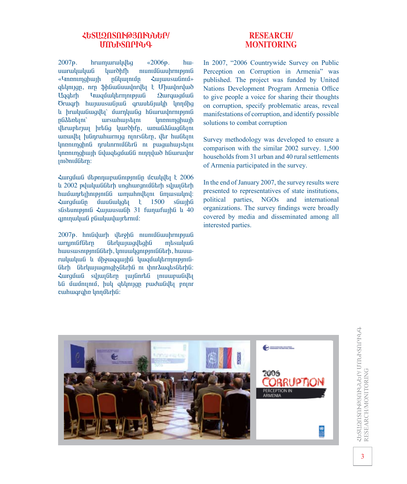#### *<u>ESUQASAF@3AFWWW*</u> **ØàÜÆîàðÆÜ¶**

 $2007$ <sub>p</sub>. hrumurululta « $2006$ <sub>p</sub>. huuuruuluuluu luurdhfh nunuutuu hrnipinit «Unnnimghuith nuluuniun Zuituusuu gtynign, arn \$hGwGuwynryth t Uhwynrywd Uggarh Yuuqu ülarmni pjuli Qurququ uli Örwarh hwywuswayua arwutayuuh ynnung lı hruluu Guallai û durnluu Ga h Guruu dhrni pini G nűdahatan' ursuhungkini linnamahunh dbruupbruun hrbliq hurðhfn, ununanafnin unuulta huinruhurnya ninrsütrn, ytr huutini linnninghna nrulinrniutatra ni puiguihuistini lannunghuu h Gylugtaguu Gannyako hauruulnr iniðniu Gurn:

Zurgua û û benna barbanên din de de de 1906 lı 2002 piluluulilarh unghurqnullarh sijuijatrh hwu unrtin belaña dia masa dia dia dia kaominina dia kaominina dia kaominina dia kaominina dia kaominina dia k<br>Paosin'ny faritr'i Amerika dia kaominina dia kaominina dia kaominina dia kaominina dia kaominina dia kaominina  $\zeta$ urquîulin unuliulyqtı  $\zeta$  1500 sliujhli sûstumpunt  $\lambda$ uyuusuuth 31 funufuyht li 40 qınınmlud pümlmlundurtmu.

2007<sub>p</sub>. hni Gulurh yargha nuni Guuhrnipjul urnını Görlunuqlaqha masulun hwuswsnipjniGGtrh, yniuwyqnipjniGGtrh, hwuwrwywywG u upwygawyha ywquwytrmni Gtrh GtrywywgnighsGtrhG ni yhnrawqtisGtrhG: ZwrgúwG sylwlGtrp jwlGnrtG jnwwpwGyth tú úwúnynu, huy qtynyqp pwdwuyt pnynr cuhuqrqhn ynnutrha:

### **RESEARCH/ MONITORING**

In 2007, "2006 Countrywide Survey on Public Perception on Corruption in Armenia" was published. The project was funded by United Nations Development Program Armenia Office to give people a voice for sharing their thoughts on corruption, specify problematic areas, reveal manifestations of corruption, and identify possible solutions to combat corruption

Survey methodology was developed to ensure a comparison with the similar 2002 survey. 1,500 households from 31 urban and 40 rural settlements of Armenia participated in the survey.

In the end of January 2007, the survey results were presented to representatives of state institutions, political parties, NGOs and international organizations. The survey findings were broadly covered by media and disseminated among all interested parties.

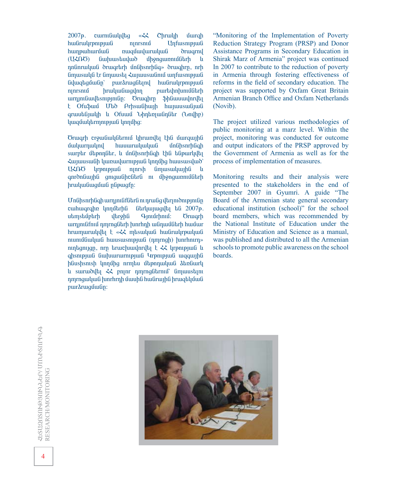2007<sub>b</sub>. curniguilulula «22 Chruil und Dan hանrակrթության ոլոrsում Աղfաsության<br>hաղթաhաrման ռազմավաrական ծrագrով nuqu uluruluu oruqrnul (UZOO) Gwww.staulwo uppngwnnughtp lu nnunungun dia bandar bandar barafar bereikt ar handen ar handen ar handen ar handen ar handen ar handen ar ha Ĝmusulya tr Gmuusta ζωγαινικιαδη απτικοπριωθ Ýí³½»óÙ³ÝÁ` µ³ñÓñ³óÝ»Éáí ѳÝñ³ÏñÃáõÃÛ³Ý ání a hrubuláunadna harakahin ning barang ning barang ning barang barang ning barang barang barang barang bara urnini Giuldisni pini Grundhan (Shununi yahuan ka t Ofu\$mu Uto Prhsmuhmyh huyunsunGymu qruuutajuulah la Ofuuu Uhntinguanatur (Unulhing) կազմակեrmnւթյան կողմից:

Örwarh crowawyatrnu yhrwnyt tha uwrqwyha uwungulaan manangkalaan dari dahili dahilikan baga dahilikan baga baga dahilikan baga baga baga baga baga baga surptr մեթոդնեr, և մոնիsnrինգի էին ենթաrկվել Zwiwuswah ywnaydurnipjwa ynnyhg hwuswsywo` UZNO urpnipjuiti njnrsh timusuuljuijhti qnrðnնwihli qniqwGhcGtrG ni uhonquinnuuGtrh hruuluu Guuquu Gubuqfn:

UnGhsnrhGqh wrniniGfGtrG ni nrwGq ytrinidnipiniGn cահագգվոռ կողմեrին նեrկայացվել են 2007թ․<br>սեmsեմբեrի վեrջին Գյումrիում։ Ծrագrի utmstunturh ultrohli Qunurhnun: Örwarh urnjniafniu nmrngatrh hunrhnh wanunaatrh hunuur hrumurulylta t «<< mtsulyufi hufrulyrpulyuf nunuð Guyud huususni pjuli (nmrngh) hunthurn» nintagnijan, nrp truichuudhrilti t << urpnipjuit u qhsnipjuig Guiluururnipjuig Urpnipjuig uigquijh hGushsnish linnung nrmtu utpnnungua dtnGurl u suruðulta << pna nmrngutrnur umunstan nmrngwywG wnrhrnh uwuhG hwGrwyhG hrwgtyuwG puråruiquulin:

"Monitoring of the Implementation of Poverty Reduction Strategy Program (PRSP) and Donor Assistance Programs in Secondary Education in Shirak Marz of Armenia" project was continued In 2007 to contribute to the reduction of poverty in Armenia through fostering effectiveness of reforms in the field of secondary education. The project was supported by Oxfam Great Britain Armenian Branch Office and Oxfam Netherlands (Novib).

The project utilized various methodologies of public monitoring at a marz level. Within the project, monitoring was conducted for outcome and output indicators of the PRSP approved by the Government of Armenia as well as for the process of implementation of measures.

Monitoring results and their analysis were presented to the stakeholders in the end of September 2007 in Gyumri. A guide "The Board of the Armenian state general secondary educational institution (school)" for the school board members, which was recommended by the National Institute of Education under the Ministry of Education and Science as a manual, was published and distributed to all the Armenian schools to promote public awareness on the school boards.

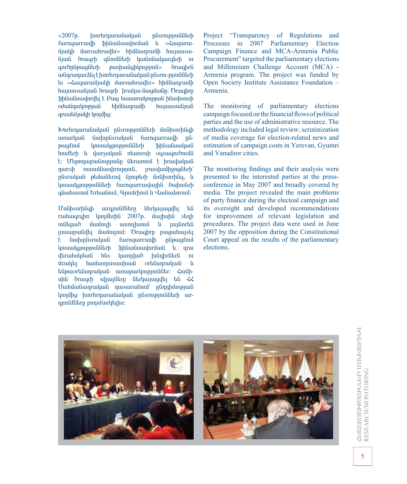$\ll 2007$ p. **hunrhrnurudiuludi** nüsrnipjniüütrh furngurcuulh Shliuliuulnruuli lu «Zuguruujuulh uursuuhruultr» hhuuunruuuh huyuusuu-Gjuig druigh ganisatrh huidnauhurgarh ni puuhuuudhunpinu qnrðplipuuqlitrh *<u>orwahrfi</u>* անդrադաraել է խոrhrդաrանական ընsrnւ-թյուննեrի եւ «Հազաrամյակի մաrsաhrավեr» հիմնադrամի ֆինանսավոrվել է Բաց հասաrակության ինսsիsուsի odulinulmpuuli hhufuunruuuh hunuusuufinufi qruuttGjulyh ynnung:

IvnrhrnurwGwywG pGsrnipjniGGtrh unGhsnrhGqh unurluuG GuylunGsruuluuG furnqurcuulh nG*unuwuuqnupmuGGtrh* puuqfnuî **ShGwGuwywG** hnuftrh lı durşudud ntunıruh oqsulqnronula է։ Մեթոդաբանությունը նեrառում է իrավական nucsh nunnungunghang nungungkan nucsh nunnungungkan nungungkan hanya nungungkan nucsh nucsh nucsh nucsh nucsh püsruluuli phüwührnd ümphrh unühsnrhüq, lu lmuwlgmpmfifitrh furngurcwylunha dwalutrh gliuhusnu Grluulinu, Qınıurhnu lı Quliudarmu:

UnGhsnrhGqh wrnmGfGtrn Gtrluunualtı tG cuthuqrqhn ynnutrha 2007p. uwyhuha stinh mutamo մամուլի ասուլիսում և լայնոrեն muunpululta uufnumuf: Orwohrn punguhunsta GwlunGsrwlwG furnquircuulh nlipwafnu F. *unuwuuqnuppnuGGtrh* \$hGwGuwynruwG l nrw yltruhuluyud hts **humulub** huinhruitru ni ucuulta huuumusuuuhuuu ortigunruuluufi  $\mathbf{u}$ tifpwortfunrwywfi wnwywryntppntifitr: 4ntihuhli drugrh synungitrn litrywnugyth til  $\langle \cdot \rangle$ Uwhuwampuluu nusuruumu nanpunpuu կողմից խոrhrդաrանական ընsrություննեrի աrդյունքնեrը բողոքաrկելիս:

Project "Transparency of Regulations and Processes in 2007 Parliamentary Election Campaign Finance and MCA-Armenia Public Procurement" targeted the parliamentary elections and Millennium Challenge Account (MCA) -Armenia program. The project was funded by Open Society Institute Assistance Foundation -Armenia.

The monitoring of parliamentary elections campaign focused on the financial flows of political parties and the use of administrative resource. The methodology included legal review, scrutinization of media coverage for election-related news and estimation of campaign costs in Yerevan, Gyumri and Vanadzor cities.

The monitoring findings and their analysis were presented to the interested parties at the pressconference in May 2007 and broadly covered by media. The project revealed the main problems of party finance during the electoal campaign and its oversight and developed recommendations for improvement of relevant legislation and procedures. The project data were used in June 2007 by the opposition during the Constitutional Court appeal on the results of the parliamentary elections.

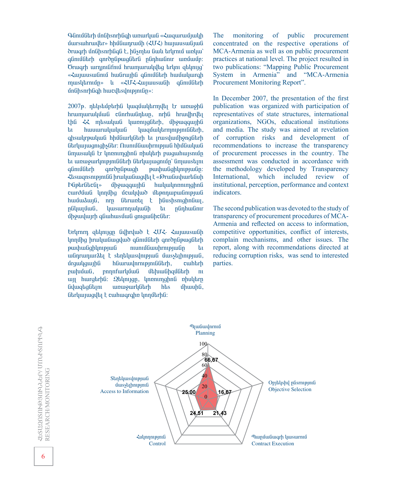$Q$ նումնեrի մոնիsnrhնգի առաrկան «Հազաrամյակի ůursuihruidar» hhutuinruith (ZUZ) hunuusuituut ðrwarh únGhsnrhGaG է, hGsmau Gwl arlyrnu wnlu qնnuuturh qnropupuqutru puphuutnur unuung: Örwarh wrnmutifnu hrwmwrwyda tryn qtynya «Հայասsանում hանrային գնումնեrի hամակաrգի muslytrnuin» la «¿U2-2unuusuufih qfinuifitrh űnűhsnrhűah hurcultsulnupiniún»:

2007p. ntlystuptrha ywquwytrmylt tr wnwyha hrumurulyuuG clinrhulintun, nrhG hruulhryth thG <<>
musuluuG luunnigGhth, upwingquighG ti hwww.rwywywG ywqutuqtrmnipjnigGtrh, qhswlyrpwlywG hhuGwrluGtrh tu prwsylwungadtrh GtrywywqniqhsGtr: Muniut Guuhrnipju Ghhutuli Gmusulu tr lunnunghna nhultrh puguhuysnun tu unungurlan pan Guthan Gurlung Kanadan Kanadan Kanadan Kanadan Kanadan Kanadan Kanadan Kanadan Kanadan Kanada gúnuuturh anronupuah puuhuutahlunpuutin:  $\zeta$ tswqnsnipjniGG hrwywGwgylt k« ΘrwGuyhwrtGuh Püptrütcü<sub>l</sub>» ühouqquujhü huluulunnumqhnü curduuG ynnung ucululud utpnnungungung huu u kuja, hrp Gtrunti t haushsnighnaun, nGluunum in buusurnnuluuGh tu nGnhuGnir űhowulwirh quuhwsu aniquu Ghelitr:

Urham qulmiqn Gulhrulud t 202- Zununsungh lnnung hruuluu Guquud qunu Guth qurdulayuq Gunudat pwyhwGqhyntpjwG nuntuGwuhrntpjwGn bi udinrumurati t stintiluisilinipjuid uusstilinipjuid, Úrawlawiha hawrwynrnipiniatha, cuntarh pwww. physiovid ubhuwahquatrh n uil hurgtrhG: Qtlmign, linnninghnG nhulutrn Gylung tan bis dhuu ha talan bis dhuu ha talan dhuu ha talan dhuu ha talan dhuu ha talan dhuu ha talan dhuu ha Garyungula k cuhuqrqhn ynnuarha:

The monitoring of public procurement concentrated on the respective operations of MCA-Armenia as well as on public procurement practices at national level. The project resulted in two publications: "Mapping Public Procurement System in Armenia" and "MCA-Armenia Procurement Monitoring Report".

In December 2007, the presentation of the first publication was organized with participation of representatives of state structures, international organizations, NGOs, educational institutions and media. The study was aimed at revelation of corruption risks and development of recommendations to increase the transparency of procurement processes in the country. The assessment was conducted in accordance with the methodology developed by Transparency International, which included review of institutional, perception, performance and context indicators.

The second publication was devoted to the study of transparency of procurement procedures of MCA-Armenia and reflected on access to information, competitive opportunities, conflict of interests, complain mechanisms, and other issues. The report, along with recommendations directed at reducing corruption risks, was send to interested parties.

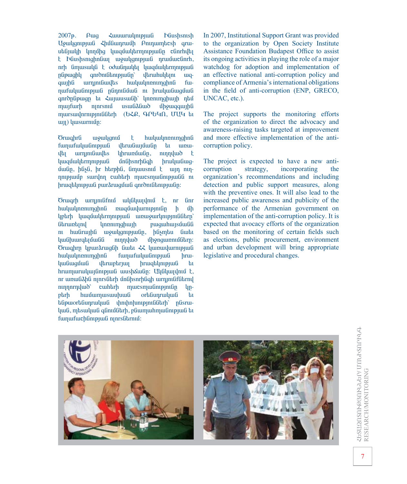$2007<sub>p</sub>$ .  $A$ <sup>uq</sup> **Zumurulmpuli h**Gushsnish Uowlantpjul 2hu0wnrwuh Pnthumbcsh arwutanula unnung huqumultan pula dari dan belas t Düushsnighnüm momulignipjui nruiturdinrh, nrh նոյաsակն է օժանդակել կազմակեrորության nupuuqhu qnrontulantpquulin **ultiruhulutini**  $\mathbf{u}$ qurniniguiltis huluulinninghna quina fuդաքականության ընդունման ու իrականազման usuuaduud upomaquipa muufurh ninrsniu mursuulnrnipjnililitrh (txp, qptun, UU4 ti um) husurmun:

**Orwghru** wowlgnu  $\mathbf t$ hululunnumqhnu funufululinipjuli վեռանայմանը tu unuվել աrnmuնավեs  $\mu$ <sub>l</sub> hrum $\mu$  $\mu$ <sub>n</sub>, ninguab t *hundung hypergradi* unGhsnrhugh hruuluu Guuqմանը, ինչն, իr htrphն, նոյասsում է այդ ուղnnipjuuip suirunn cuihtrh muicsmuinipjuuiti ni hrwqtlnipjwa pwrarwguwa qnroniatnipjwan:

Örwqrh wrnjnilifniu wyliywiylniu t, nr linr hwywynnmghna nwquwywnnpintan  $\mathbf h$ **u**h liptirh կազմակեrmnipjuid unuiourlinipjniatitri *unnunghwih* puguhujsůulil Gtruntind nı hufiruyhti uyullanıp utip, htişmtu titulu **hufhuuratufulfi** ninnyum uponquinnium: Orwghrn lipurarwgah awat << lumandurnipjum hululunnumqhnG funufuluufinipjuf hrui**buiguon** dbrupbriun hrwqtlmppwG  $\mathbf{h}$ hrumuruluyunginipyun uushaungi: Uyayuyunu t, nr wnwGahG njnrsGtrh unGhsnrhGqh wrnjniGfGtrny  $n$ nnnnnuluid  $c$  under the munitary munitary munitary munitary munitary munitary munitary munitary munitary munitary munitary munitary munitary munitary munitary munitary munitary munitary munitary munitary munitary munitary munitary l<sub>u</sub>n- $\n *ph*\n$ huuumusuupuud ortidunruluudi  $t_{1}$ tigpwortigunrwywg ynnhnhunipiniagtrh' pasrwկան, որեջական գնումնեrի, բնաորահորանության եւ funufuchunpjum njnrsutrniu:

In 2007, Institutional Support Grant was provided to the organization by Open Society Institute Assistance Foundation Budapest Office to assist its ongoing activities in playing the role of a major watchdog for adoption and implementation of an effective national anti-corruption policy and compliance of Armenia's international obligations in the field of anti-corruption (ENP, GRECO, UNCAC, etc.).

The project supports the monitoring efforts of the organization to direct the advocacy and awareness-raising tasks targeted at improvement and more effective implementation of the anticorruption policy.

The project is expected to have a new anticorruption strategy, incorporating the organization's recommendations and including detection and public support measures, along with the preventive ones. It will also lead to the increased public awareness and publicity of the performance of the Armenian government on implementation of the anti-corruption policy. It is expected that avocacy efforts of the organization based on the monitoring of certain fields such as elections, public procurement, environment and urban development will bring appropriate legislative and procedural changes.



ՀԵՏԱԶՈՏՈՒԹՅՈՒՆՆԵՐ/ ՄՈՆՒՏՈՐԻՆԳ RESEARCHMONITORING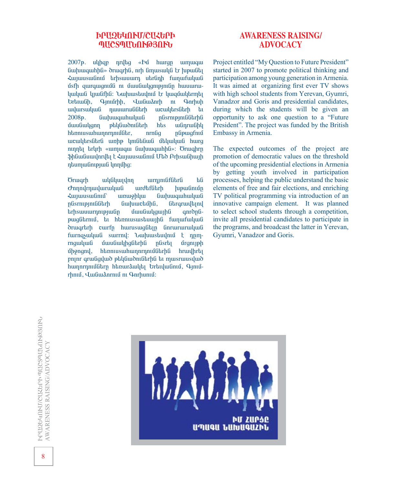#### **ՒՐՍԶԵԿՈՒՄ/ԸՍՀԵՐԻ** ՊՄՇՏՊՄՆՈՒԹՅՈՒՆ

2007p. ulihqp nrilliq «In hurqn umuqui GwluugwhlG» drwgrhG, nrh GmuswyG tr lupwGt **ZwjwuswGnid** trhswuwrn utrGnh fwnwfwywG usfh qurquigniung ni utungulgning humurinկական կյանքին։ Նախաsեսվում է կազմակերդել **Grtuufin**, Q-muirhh, Quuliuanrh ni Q-mrhuh uulursuuluufi nwwww.GGtrh uncuultrsfitrh tu 2008<sub>p</sub>. GwhuuqwhwywG nGsrnipjniGGtrhG *dwuGwlgnn* phyGwonGhrh hts wuinrwuhy htiniusuhuinriniudtr,  $nrnGq$ nupuuqfnu wcwybrsatra wnhp yniatawa utywywa hwrg nınna trurh «wimwqw GwhuwqwhhG»: Örwqhrn \$hGwGuwynryla է ՀայասsաGnu Uto ArhswGhwyh դեսոյանության կողմից:

*whatwordnn* urnını GfGtrG են **Orwarh** *omnumuduruluu* urdtfütrh **hupwunun Zujuusuufinuf** unuiophuu GwwwawhwywG nüsrnipjniüütrh Gwww.ctung.com *fibrarwultinu* **trhswuwrnnipjwGn** *dwuGwlgwihG* anronapugGtrnid, ti htmnusustuuiha funufuluuG drugrarh curfp hurusugatin anrururuyua furngswywG surrny: burluustaynu t nnmrngwywG մասնակիցնեrին ընsrել *drgnuph* uppand, htmnusuhunnrnnulatrha hrwyhrtq pnınr qrudqylud ptyludontarha tu musruusylud humnrnnungturp htmuraulut brtmulung Qpm rhniu, Quiliudnrniu ni Qnrhuniu:

## **AWARENESS RAISING/ ADVOCACY**

Project entitled "My Question to Future President" started in 2007 to promote political thinking and participation among young generation in Armenia. It was aimed at organizing first ever TV shows with high school students from Yerevan, Gyumri, Vanadzor and Goris and presidential candidates, during which the students will be given an opportunity to ask one question to a "Future" President". The project was funded by the British Embassy in Armenia.

The expected outcomes of the project are promotion of democratic values on the threshold of the upcoming presidential elections in Armenia by getting youth involved in participation processes, helping the public understand the basic elements of free and fair elections, and enriching TV political programming via introduction of an innovative campaign element. It was planned to select school students through a competition, invite all presidential candidates to participate in the programs, and broadcast the latter in Yerevan. Gyumri, Vanadzor and Goris.

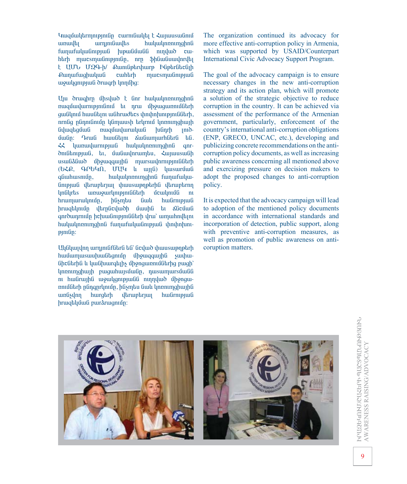Կազմակեrmությունը curnւնակել է Հայասչանում **uinuulti** urninifuults huluulinnnimahnli funufululungulu hipululululu ningud cuhtrh mucsmulinipining, nrn \$hliuliumundti t UU U29-h/ QumuGptruhuurp hGptrGtcGih PunufuqhuluuG cuihtrh mucsmulinipjuli wowlgnipjud drwqrh linnung:

Uju drughrn uhsylud t unr huyuulunninghnu nungun untuk memberikan basa yang dan memberikan basa yang dalam basa yang mengemukan kanyak dalam mengemukan da quulipun huulitan uulihruudtes yhnynpunpunlilitah, nrnնg ընդունումը կնպասsի եւկւում կոռուպցիայի nuquuquruluu Gywalagung  $\mu$ նդրի  $1m\ddot{\sigma}$ մանը: Դrան hասնելու ձանադաrhնեrն են. hulunmipiud huluuhnnimahna ぞ qnrontumput but dubung but dubung dubukan dubukan du uswuadiwa uhowaqwiha murswuhrmianufuatrh (GZP, QPGUN, UUU h wijli) huisuiruuli quuhusnun, huluulnnnmghnu funufuluuնության վեrաբեrյալ փասsաթղթեrին վեrաբեrող **lingurtis** unun aurun belaftırdı bu anan bazı de  $\mathbf{m}$ hrumurulmun. hûşmbu Gwl huuGrnipjuuG hrwqtilnun yltrnucywoh uwuhu tu Kucuwu onrownrnun hehmun puntuk drui umuhnytini hակակոռուղցիոն քաղաքականության փոփոխու $p$  $p$  $n$  $f$  $i$  $n$ :

UyGyuyyon wrnini Gibri ta' Goywo yuuswenetrh huuumusuuuhuuftamun uhouqquuhti suuhuu-GheGtrhG u ywGhuurgtijh unonguinning haifing bulgh lnnnunghuyh puguhuysuuan, nusumursuua nı hudruyld wowlgonpulld ninnyub ühonguռումնեrի ընդգրrկումը, ինչպես նաև կոռուղցիային  $un6$ s $\eta$ nn hurgեrh վեrաբեrյալ hwarnipjwa hruighluud puiraruightin:

The organization continued its advocacy for more effective anti-corruption policy in Armenia. which was supported by USAID/Counterpart International Civic Advocacy Support Program.

The goal of the advocacy campaign is to ensure necessary changes in the new anti-corruption strategy and its action plan, which will promote a solution of the strategic objective to reduce corruption in the country. It can be achieved via assessment of the performance of the Armenian government, particularly, enforcement of the country's international anti-corruption obligations (ENP, GRECO, UNCAC, etc.), developing and publicizing concrete recommendations on the anticorruption policy documents, as well as increasing public awareness concerning all mentioned above and exercizing pressure on decision makers to adopt the proposed changes to anti-corruption policy.

It is expected that the advocacy campaign will lead to adoption of the mentioned policy documents in accordance with international standards and incorporation of detection, public support, along with preventive anti-corruption measures, as well as promotion of public awareness on anticoruption matters.

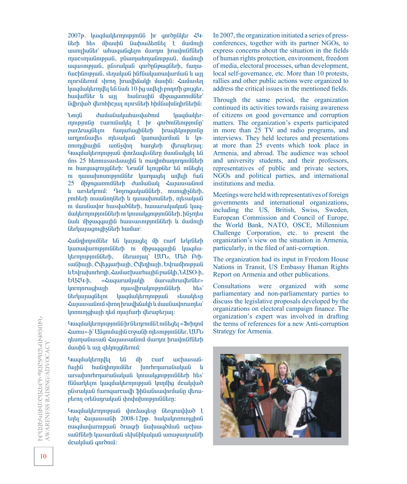2007<sub>b</sub>. luuqu ultamni pint i hr qnrðn ultar  $\zeta$ Gtrh hts միասին նախաձեռնել է մամուլի wunuhuGtr` whwqwGqtini uwrnn hrwyniGfGtrh mucsmulintpjuli, pliumuhmulintpjuli, uujnuh wqusntpjwG, nGsrwywG qnrðnGpwqGtrh, fwnwfuchlinipjuil, stinuljuil hlifliuljuinuiluruuli li uij ninrsGtrniu shrnn hruulhoulh uuuha: Zuuustin luuquulutrmulti tu duul 10-hq uultih pnnnfh gnijgtr, huuluuf ühr um huu in huudi üh suquunnu üühr Gyhrywð yltrnhhejuy njnrsGtrh hhuGupuGnhrGtrhG:

ÜáõÛÝ Å³Ù³Ý³Ï³Ñ³ïí³Íáõ٠ϳ½Ù³Ï»ñmnipinilin curniliululti k hr enronilitanipinilin purðruggutin funufughgtrh hrugtunpingn urnini Guilles masuluu quruu quruu uu quruu uu quruu maa nninghuigh undistan hurgarh tartuparium *Կացմակեrmnւթյան փnr*ծագեsնեrn մասնակցել են úns 25 htmnusustuunha u nunhnhunnrnnungtrh nı hurquiqrniq ührh: Uruu if tinip ütr til ni ütqti nı nuuuuhununipini ü ari hurnuqti uultih fuit 25 ûhonquinnuû darh duu û dulu duquusuu Ginu lı urstryrnuî: **L**angulungulan, nunghyatrh, entharh ntuwannaarh a nutuu buotarh, masuu buota entake nı մասնավոr husyludatrh, hununrulululung hungumana na kulutan ku da da da kulutan ku ku da ku ku ku da ku ku Gwh ungqwyha hwuswsmpyntath u uwunyh Garluu juu qniqh suur huu huu mi

Հանդիորոմնեr են կայացել մի curf եrկrնեrի luunuuluurnteiniligarh ni uhouigauiha luuguulutrmnipjni Gürh, Gurunjuj UUb, Uud PrhswGhwyh, Cyltygwrhwyh, Cyltnhwyh, GyrwunnpywG lı Gyruylunrhrnh, Zuniuchuurhuyhü puniyh, UUSO-h, *GU*X<sup>U</sup>-h, «Հազաrամյակի մաrswhruultruikr» lunta uar and an aiking an aiking an aiking the summary of the set of the set of the set of the set of the set o GtrywywqGtyn ywquwytrmnipywG stuwytsp  $\frac{1}{2}$ λεύτος είναι τη διαματισμού διαφορεία τη συναιστή αλλασιαμμα τη Συλεμανή τη Συλεμανή Συλεμανή Συλεμαν lınnımqhuqh ntu muqfurh ytruptrpuq:

VwquuqtrmnppntGGhrGtrnrntuGtntGtqti «Srhnnu Zumu»-h`Uûqnuunhu crowah masnipinuatr, UUU ntumuliusuli  $\zeta$ unuusulinui uurnn hruulntifitirh u u vij guhang ükmud:

Vuuquuluuquulun bū uh curf uuchuusuu fwyhG hwGnhmnuGGtr hunrhrnwrwGwywG u ursulunrhrnurudulud lmuulgmpmddtrh hts` füüurytin ywquuytrmnipjui ynnung ucuyywo nűsrwywG fwrnqwrcwyh \$hGwGuwynruwGn yarwptrnn ortaunruuluua unuhnunupunaatru:

VuuquulutrmnipjuuG yhnrauqtisp Gtrqruululuot t tinti 2ujuusuu film 2008-12pp. huluulinninghna nuqu ulurni pjul drugrh li ulu va biliaña en la vertu swüfütrh ywswruua sthuahywyan wnwownruuafh úculuíuí anromú:

In 2007, the organization initiated a series of pressconferences, together with its partner NGOs, to express concerns about the situation in the fields of human rights protection, environment, freedom of media, electoral processes, urban development, local self-governance, etc. More than 10 protests, rallies and other public actions were organized to address the critical issues in the mentioned fields.

Through the same period, the organization continued its activities towards raising awareness of citizens on good governance and corruption matters. The organization's experts participated in more than 25 TV and radio programs, and interviews. They held lectures and presentations at more than 25 events which took place in Armenia, and abroad. The audience was school and university students, and their professors, representatives of public and private sectors, NGOs and political parties, and international institutions and media.

Meetings were held with representatives of foreign governments and international organizations, including the US, British, Swiss, Sweden, European Commission and Council of Europe, the World Bank, NATO, OSCE, Millennium Challenge Corporation, etc. to present the organization's view on the situation in Armenia, particularly, in the filed of anti-corruption.

The organization had its input in Freedom House Nations in Transit, US Embassy Human Rights Report on Armenia and other publications.

Consultations were organized with some parliamentary and non-parliamentary parties to discuss the legislative proposals developed by the organizations on electoral campaign finance. The organization's expert was involved in drafting the terms of references for a new Anti-corruption Strategy for Armenia.

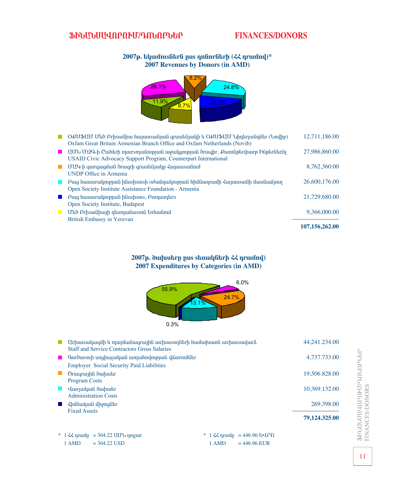## ՖԻՆԱՆՍԱՎՈՐՈՒՄ/ԳՈՆՈՐՆԵՐ

## **FINANCES/DONORS**

#### 2007p. tlywunsutru pus nnunrutrh (<< nrwund)\* 2007 Revenues by Donors (in AMD)



|                           |                                                                                                                                                             | 107,156,262.00 |
|---------------------------|-------------------------------------------------------------------------------------------------------------------------------------------------------------|----------------|
| <b>Tale</b>               | Մեծ Բrիsանիայի դեսորանաsուն Երևանում<br>British Embassy in Yerevan                                                                                          | 9.366,000.00   |
|                           | Open Society Institute, Budapest                                                                                                                            |                |
| <b>The Second Second</b>  | Puig huiuuruu un puig huushismis, Printin puiges                                                                                                            | 21,729,680.00  |
| H                         | Բաց hասաrակության ինսsիsուsի օժանդակության հիմնադrամի Հայասsանի մասնաձյուղ<br>Open Society Institute Assistance Foundation - Armenia                        | 26,600,176.00  |
| n a                       | UU4-h qurquiquati ortuqrh qruituliquilin Luquiquinini<br><b>UNDP Office in Armenia</b>                                                                      | 8.762.360.00   |
| <b>The Second Service</b> | UUU UQQ-h Cwharh mwcsmw GnippwG wywygnipiwG drwghr, Qwnigoarthwrp MiparGacGi<br><b>USAID Civic Advocacy Support Program, Counterpart International</b>      | 27,986,860.00  |
|                           | O PUSUU U to Prhsw Ghu hujuuswa Gjudi qruuta Gullah Lo PUSUU Unterputing tripp)<br>Oxfam Great Britain Armenian Branch Office and Oxfam Netherlands (Novib) | 12,711,186.00  |

#### 2007p. du uu brp pus stauulu fitrh << nruund) 2007 Expenditures by Categories (in AMD)



|                                                                                                                                    | 79,124.325.00 |
|------------------------------------------------------------------------------------------------------------------------------------|---------------|
| $\lambda$ hutuluuluulululun dhonqtidar<br><b>Fixed Assets</b>                                                                      | 269.398.00    |
| <b>Hursuluuti duluutir</b><br><b>Administration Costs</b>                                                                          | 10,369.132.00 |
| <b>Program Costs</b>                                                                                                               |               |
| <b>Employer Social Security Paid Liabilities</b><br>Orwarwiha dwuutr                                                               | 19,506.828.00 |
| Garðusnih unghujuluuluu umuhnumpjuu udurningur<br><b>The Second Second</b>                                                         | 4,737.733.00  |
| Uchuusuuluuqun lu muyuuduuqruyha uuchuusnnatrh huuuunkuunkuu uuchuusuuluura<br><b>Staff and Service Contractors Gross Salaries</b> | 44,241.234.00 |

1 AMD  $= 304.22$  USD

\*  $1 \leq k$  nrunn = 446.96 GUP  $\Omega$ 1 AMD  $= 446.96$  EUR

ՖԻՆԱՆՄԱՎՈՐՈՒՄ/ԴՈՆՈՐՆԵՐ<br>FINANCES/DONORS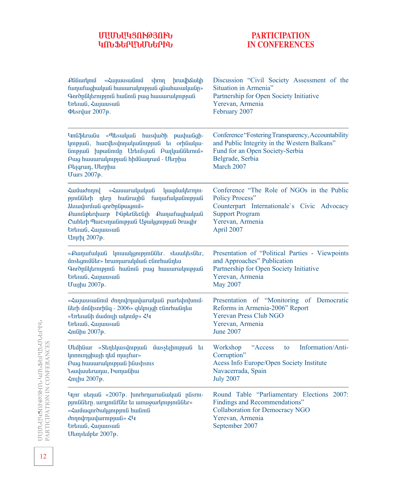## **زêܲÎòàôÂÚàôÜ ԿՈՆՖԵՐԱՆՄՆԵՐԻՆ**

## **PARTICIPATION IN CONFERENCES**

| : Plifiurlpni «Հայասsանում<br>shrnn hruulhouulh<br>funufughuluuG hunuurulmpjuG qGuhusuluuGp»<br>Գուծընկեւություն hանուն բաց hասաrակության<br><b>Urtima</b> , <ujunusuu<br><b><i><u>Otsrylur</u></i></b> 2007p.</ujunusuu<br>                                                                                                       | Discussion "Civil Society Assessment of the<br>Situation in Armenia"<br>Partnership for Open Society Initiative<br>Yerevan, Armenia<br>February 2007                            |
|------------------------------------------------------------------------------------------------------------------------------------------------------------------------------------------------------------------------------------------------------------------------------------------------------------------------------------|---------------------------------------------------------------------------------------------------------------------------------------------------------------------------------|
| Undֆtrwau «Պtswywa hwsywdh pwyhwagh-<br>կության, hwcytsynnuywunpywu tu orhuwyw-<br>GnipjuG  upuGniup UrtnusjuG PuiluGGtrnus»<br>Puig huiuuruilinipjuit hhutuinpuit - Utrphui<br><b>Atiqruin</b> , Utrphui<br><b>U</b> urs 2007p.                                                                                                   | Conference "Fostering Transparency, Accountability<br>and Public Integrity in the Western Balkans"<br>Fund for an Open Society-Serbia<br>Belgrade, Serbia<br>March 2007         |
| «Հասաrակական կազմակեrmnւ-<br><b>Համաժողով</b><br>թյուննեrի դեrր հանrային քաղաքականության<br><i><b><i><u>Abuulnruuli qnroplipuugnus»</u></i></b></i><br>Pumliptryhurp hliptrlitclin Pumufughuluuli<br>Cunhtrh Պաշsmuunpjuu Ugulgmpjuu druuqhr<br><b>Urtuuli</b> , <sujuusuuli<br>Umrh<sub>1</sub> 2007<sub>p</sub>.</sujuusuuli<br> | Conference "The Role of NGOs in the Public<br><b>Policy Process"</b><br>Counterpart Internationale's Civic Advocacy<br><b>Support Program</b><br>Yerevan, Armenia<br>April 2007 |
| «Քաղաքական կուսակցություննեr. sեսակեsնեr,<br>unstigniuation hrumuruluun tunnun alutta<br>Qnropulutrnipjniu huiuniu puig huiuurulinipjuiu<br><b>Urtima</b> , <ujunusuu<br><b>U</b>uyhu 2007p.</ujunusuu<br>                                                                                                                         | Presentation of "Political Parties - Viewpoints<br>and Approaches" Publication<br>Partnership for Open Society Initiative<br>Yerevan, Armenia<br>May 2007                       |
| «Հայասsանում ժողովորավաrական բարեփոխում-<br>նեrի մոնիsnrինգ - 2006» զեկույցի շնոrhանդես<br>«Եrեւանի մամուլի ակումբ» ՀԿ<br><b>Urtuuli</b> , <sujuusuuli<br><b><nichu 2007p.<="" b=""></nichu></b></sujuusuuli<br>                                                                                                                   | Presentation of "Monitoring of Democratic<br>Reforms in Armenia-2006" Report<br><b>Yerevan Press Club NGO</b><br>Yerevan, Armenia<br><b>June 2007</b>                           |
| Uեմինաr «Տեղեկաsվության մաsչելիության<br>եւ<br><b>կոռուղցիայի դեմ mայfur»</b><br>Puig huiuuruulinipjuiti htiushsnis<br>Նավասեrադա, Իսոլանիա<br>Հուլիս 2007 <sub>p</sub> .                                                                                                                                                          | "Access<br>Information/Anti-<br>Workshop<br>to<br>Corruption"<br>Acess Info Europe/Open Society Institute<br>Navacerrada, Spain<br><b>July 2007</b>                             |
| Чит иыпша «2007». hunrhrnuruuGuuluuG pGsrni-<br>pjnilülarp. wrnjnilifülar bi wnwowrlinipjnilülar»<br>«Համագուծակցություն hանուն<br>dnnnlrnulurnipjuli» <4<br><b>Urtuuli</b> , <ujuusuuli<br>Ulamsluuphr 2007p.</ujuusuuli<br>                                                                                                      | Round Table "Parliamentary Elections 2007:<br>Findings and Recommendations"<br><b>Collaboration for Democracy NGO</b><br>Yerevan, Armenia<br>September 2007                     |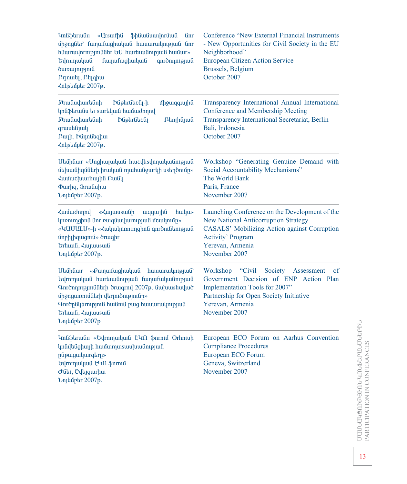| <b><i><u>Infishtrufiu</u></i></b><br>«Ursufhû<br><b>ShGwGuwynruuG</b><br>Gnr<br>միջոցնեr` fաղաfացիական hասաrակության նոr<br>hնաrավոrություննեr ԵՄ hաrեւանության hամաr»<br><b>Gymmuluuti</b><br>funufughuluuG<br>qnronnnpjuli<br><b>dunuynipynia</b><br>Prjniutij, Ptighui<br><nlustuiptr 2007p.<="" th=""><th>Conference "New External Financial Instruments<br/>- New Opportunities for Civil Society in the EU<br/>Neighborhood"<br/>European Citizen Action Service<br/>Brussels, Belgium<br/>October 2007</th></nlustuiptr> | Conference "New External Financial Instruments<br>- New Opportunities for Civil Society in the EU<br>Neighborhood"<br>European Citizen Action Service<br>Brussels, Belgium<br>October 2007                            |
|---------------------------------------------------------------------------------------------------------------------------------------------------------------------------------------------------------------------------------------------------------------------------------------------------------------------------------------------------------------------------------------------------------------------------------------------------------------------------------------------------------------------------------|-----------------------------------------------------------------------------------------------------------------------------------------------------------------------------------------------------------------------|
| <b>OrwGuyhurtGuh</b><br><b>Miptrfittcfil-h</b><br>upgunguya<br>կոնֆեrանս եւ surtluuն hամաժողով<br><b>OrwGuhurtGuh</b><br><b>P</b> GpbrGbcG1<br>Ptnphijuli<br>qruutifijul<br>Բալի, Ինդոնեզիա<br>Հոկsեմբեr 2007թ.                                                                                                                                                                                                                                                                                                                 | Transparency International Annual International<br>Conference and Membership Meeting<br>Transparency International Secretariat, Berlin<br>Bali, Indonesia<br>October 2007                                             |
| Utahaur «Unghunulua hurultsunnuluannpyua<br>մեխանիզմնեrի իrական որահանջաrկի սsեղծումը»<br>Համաշխաrhային Բանկ<br><b><i><u><b>Φ</b>urhq</u></i></b> , <b><i><u><b></b></u></i></b> <i>brufupuring</i><br>Նոյեմբեr 2007թ.                                                                                                                                                                                                                                                                                                          | Workshop "Generating Genuine Demand with<br>Social Accountability Mechanisms"<br>The World Bank<br>Paris, France<br>November 2007                                                                                     |
| «Հայասsանի<br><b>Zunudnnul</b><br>wqqwjhG<br>hulu-<br>կոռուղցիոն նոr ռազմավաrության մշակումը»<br>«ԿUUULU»-ի «Հակակոռուղցիոն գուծունեության<br>unphinquignium oruight<br><b>Urtimal</b> , <aujunusuu<br>Նոյեմբեr 2007թ.</aujunusuu<br>                                                                                                                                                                                                                                                                                           | Launching Conference on the Development of the<br><b>New National Anticorruption Strategy</b><br><b>CASALS' Mobilizing Action against Corruption</b><br><b>Activity' Program</b><br>Yerevan, Armenia<br>November 2007 |
| «Քաղաքացիական<br>Մեմինաr<br>huuuruulmpuud<br>Եվrnmական hաrեւանության fաղաfականության<br>Գուծողություննեւի ծւագւով 2007թ. նախաsեսված<br>միջոցառումնեrի վեrլուծությունը»<br>Գուծընկեrություն hանուն բաց hասաrակության<br><b>Grtnuli</b> , <b>Aujuusuli</b><br>Նոյեմբեr 2007թ                                                                                                                                                                                                                                                      | Workshop<br>Society<br>"Civil"<br>Assessment<br>of<br>Government Decision of ENP Action Plan<br>Implementation Tools for 2007"<br>Partnership for Open Society Initiative<br>Yerevan, Armenia<br>November 2007        |
| Կոնֆեrանս «Եվrnmական ԷԿΛ ֆnrnιմ Orhnuh<br>կոնվենցիայի համաղաsասխանության<br>pubyuguuluurqtrp»<br>Եվrnmական ԷԿՈ ֆnrnւմ<br>duti, Cultiguirhui<br>Նոյեմբեr 2007թ.                                                                                                                                                                                                                                                                                                                                                                  | European ECO Forum on Aarhus Convention<br><b>Compliance Procedures</b><br>European ECO Forum<br>Geneva, Switzerland<br>November 2007                                                                                 |

UUUU-U43NA@3KNU- 4NU-SEPUU-UU-GPFU-<br>PARTICIPATION IN CONFERANCES ՄԱՄՆԱԿՅՈՒԹՅՒՈՆ ԿՈՆՖԵՐԱՆՄՆԵՐԻՆ PARTICIPATION IN CONFERANCES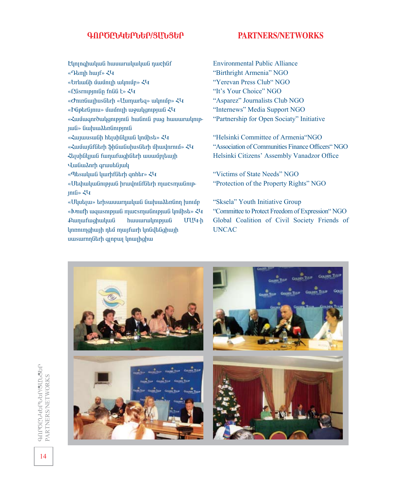#### **¶àðÌÀÜκðܺð/ò²Üòºð**

#### **PARTNERS/NETWORKS**

- Elminghuluufi huuuruuluuluufi nurchfif
- «Դեmh huuf» ՀԿ
- «**Grluu**Gh uuunin ulpuun»  $\langle \Psi \rangle$
- «Qûsrnıpınıûn fnûû t»  $\zeta$ 4
- «*GnunGuujhusGtrh* «**Uumurtiq**» wyning»  $\zeta$
- «Þûptrûjniu» úmúnijh momunginigina  $\zeta$
- «Համագուծակցություն hանուն բաց hասաrակութ-
- $100 \times 60$ uhuudtafinipini
- «Հայասsանի hելսինկյան կոմիsե» ՀԿ
- «Համայնքնեrի ֆինանսիսsնեrի միավոrում» ՀԿ
- Հեյսինկյան fաղաfացինեrի ասամբյեայի
- *Hudiuanrh qrunutajunq*
- «Պեsական կաrիfնեrի qnhեr» ՀԿ
- «UtahwywGnipjwG hrwyniGfGtrh mwcsmwGnip- $\n *infl*$   $\varepsilon \$
- «Մկսելա» եrիsասաrդական նախաձեռնող խումբ «Ivnufh wqwsnipjwa mwcsmwanipjwa ynůhst»  $\xi$ £wnwfwghwywa hwwwrwynipiwa UU4-h lınnninghuih ntu muifuirh lingilighuih uwswrnnutrh qinpui ynwihghw

Environmental Public Alliance "Birthright Armenia" NGO "Yerevan Press Club" NGO "It's Your Choice" NGO "Asparez" Journalists Club NGO "Internews" Media Support NGO "Partnership for Open Sociaty" Initiative

"Helsinki Committee of Armenia"NGO "Association of Communities Finance Officers" NGO Helsinki Citizens' Assembly Vanadzor Office

"Victims of State Needs" NGO "Protection of the Property Rights" NGO

"Sksela" Youth Initiative Group "Committee to Protect Freedom of Expression" NGO Global Coalition of Civil Society Friends of UNCAC



¶àðÌÀÜκðܺð/ò²Üòºð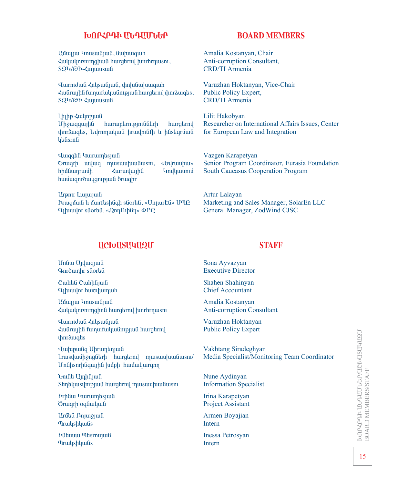### **ԽՈՐՀՐԴԻ ՄՆԴՄՄՆԵՐ**

Uunju Ymusuunjuun, Guahuuquah  $\lambda$ ulululnnnunghul hurgtrny tunrhrnusni, SQY/@h- $\zeta$ uyuusuuG

Jurniduli  $\zeta$ nlisulijuili, ihn aliuhuuquih ZwGrwyhG fwnwfwywGntpjwG hwrgtrny yhnrawgts, SQY/@h-ZwjwuswG

Lh<sub>l</sub>hp  $\zeta$ <sub>ulnpjufi</sub> Uh9wqqwjhG hwrwptrnipjniGGtrh hwrgtrny tharauqts, byrnmuluu hruulniafh u hastiqruud lutisma

ì³½•»Ý γñ³å»ïÛ³Ý Örwqrh wywq muswuhwuGwsn, «Gyrwuhw» hhut bungan bhut bungan bhut bungan bahalan bahalan bahalan bahalan bahalan bahalan bahalan bahalan bahalan ba hwu uqnrowligni pjul orwahr

Urpnir Luijuijuili Prugutul u uurftshligh sliortil, «Unjurtis» UMP  $Q_1$ խավոr sնorեն, «2nη Ωιինη» ΦΑԸ

### **BOARD MEMBERS**

Amalia Kostanyan, Chair Anti-corruption Consultant, CRD/TI Armenia

Varuzhan Hoktanyan, Vice-Chair Public Policy Expert, CRD/TI Armenia

Lilit Hakobyan Researcher on International Affairs Issues, Center for European Law and Integration

Vazgen Karapetyan Senior Program Coordinator, Eurasia Foundation South Caucasus Cooperation Program

Artur Lalayan Marketing and Sales Manager, SolarEn LLC General Manager, ZodWind CJSC

## UCIvUSU4U2U

Undiu Unluigjuid *Gnrownhr sfiortifi* 

Cuhha Cuhhajua  $Q$ <sub>l</sub> huuulnr huuculumuuh

Uunju Ymusuunjuun **Հակակոռուղցիոն hurgtrnվ խոrhrդաsու** 

*Վաrmduli ՀnyswGjwG* Zwūrwhū funufuyuūnipjuū hurgtrny uhnrauuqtis

*<u><b>*</u> *<u>Eughpuliq</u>* Uprumatique Lruisylunihong Garh hurgarny musuuruu Gusni/ UnGhsnrhGqwihG huoph hwwwywrqnn

*<u><b>Unphilition</u>* Stint usun puntitudio hungan na musula husun an

**Prhaw Yurumtsjua** Örwqrh oqfiwluufi

Urůti Pnjuojuli **Thruus** Thruus

**F**Gbuuu ThsrnujuG **T**irulushluufis

## **STAFF**

Sona Ayvazyan Executive Director

Shahen Shahinyan Chief Accountant

Amalia Kostanyan Anti-corruption Consultant

Varuzhan Hoktanyan Public Policy Expert

Vakhtang Siradeghyan Media Specialist/Monitoring Team Coordinator

Nune Aydinyan Information Specialist

Irina Karapetyan Project Assistant

Armen Boyajian Intern

Inessa Petrosyan Intern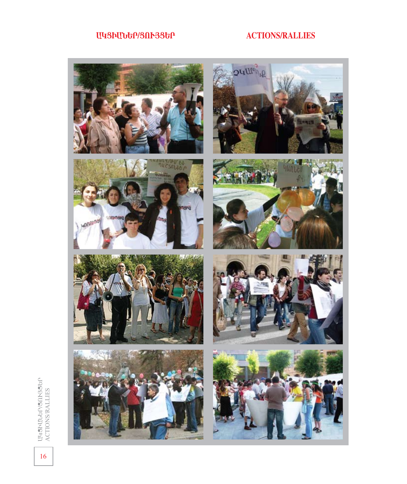## **ЦЧЗЬЦЪԵР/ЗПԻЗЗԵР**

## **ACTIONS/RALLIES**

















UUSPUUGPANDSSEP<br>ACTIONSRALLIES